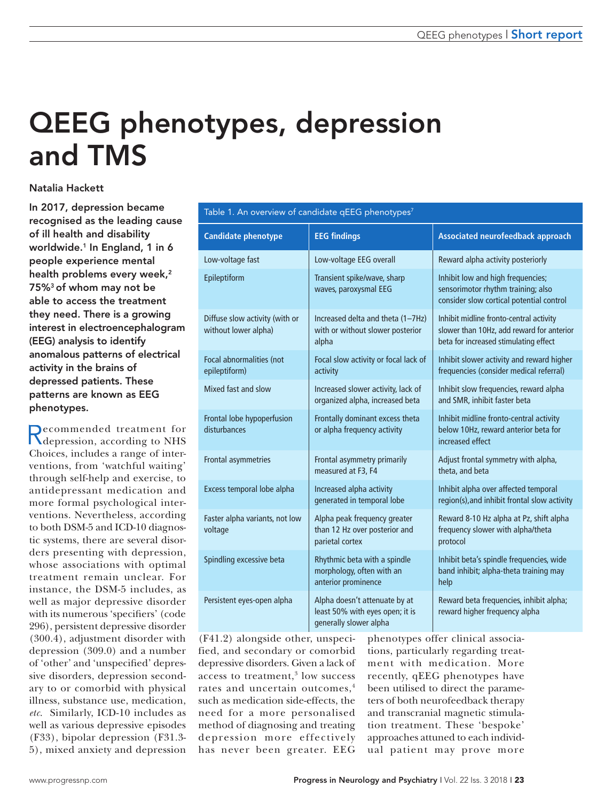# QEEG phenotypes, depression and TMS

# Natalia Hackett

In 2017, depression became recognised as the leading cause of ill health and disability worldwide.<sup>1</sup> In England, 1 in 6 people experience mental health problems every week,<sup>2</sup> 75%3 of whom may not be able to access the treatment they need. There is a growing interest in electroencephalogram (EEG) analysis to identify anomalous patterns of electrical activity in the brains of depressed patients. These patterns are known as EEG phenotypes.

Recommended treatment for depression, according to NHS Choices, includes a range of interventions, from 'watchful waiting' through self-help and exercise, to antidepressant medication and more formal psychological interventions. Nevertheless, according to both DSM-5 and ICD-10 diagnostic systems, there are several disorders presenting with depression, whose associations with optimal treatment remain unclear. For instance, the DSM-5 includes, as well as major depressive disorder with its numerous 'specifiers' (code 296), persistent depressive disorder (300.4), adjustment disorder with depression (309.0) and a number of 'other' and 'unspecified' depressive disorders, depression secondary to or comorbid with physical illness, substance use, medication, *etc*. Similarly, ICD-10 includes as well as various depressive episodes (F33), bipolar depression (F31.3- 5), mixed anxiety and depression

| Table 1. An overview of candidate qEEG phenotypes $^7$ |                                                                                            |                                                                                                                               |
|--------------------------------------------------------|--------------------------------------------------------------------------------------------|-------------------------------------------------------------------------------------------------------------------------------|
| <b>Candidate phenotype</b>                             | <b>EEG findings</b>                                                                        | <b>Associated neurofeedback approach</b>                                                                                      |
| Low-voltage fast                                       | Low-voltage EEG overall                                                                    | Reward alpha activity posteriorly                                                                                             |
| Epileptiform                                           | Transient spike/wave, sharp<br>waves, paroxysmal EEG                                       | Inhibit low and high frequencies;<br>sensorimotor rhythm training; also<br>consider slow cortical potential control           |
| Diffuse slow activity (with or<br>without lower alpha) | Increased delta and theta (1-7Hz)<br>with or without slower posterior<br>alpha             | Inhibit midline fronto-central activity<br>slower than 10Hz, add reward for anterior<br>beta for increased stimulating effect |
| Focal abnormalities (not<br>epileptiform)              | Focal slow activity or focal lack of<br>activity                                           | Inhibit slower activity and reward higher<br>frequencies (consider medical referral)                                          |
| Mixed fast and slow                                    | Increased slower activity, lack of<br>organized alpha, increased beta                      | Inhibit slow frequencies, reward alpha<br>and SMR, inhibit faster beta                                                        |
| Frontal lobe hypoperfusion<br>disturbances             | Frontally dominant excess theta<br>or alpha frequency activity                             | Inhibit midline fronto-central activity<br>below 10Hz, reward anterior beta for<br>increased effect                           |
| Frontal asymmetries                                    | Frontal asymmetry primarily<br>measured at F3, F4                                          | Adjust frontal symmetry with alpha,<br>theta, and beta                                                                        |
| Excess temporal lobe alpha                             | Increased alpha activity<br>generated in temporal lobe                                     | Inhibit alpha over affected temporal<br>region(s), and inhibit frontal slow activity                                          |
| Faster alpha variants, not low<br>voltage              | Alpha peak frequency greater<br>than 12 Hz over posterior and<br>parietal cortex           | Reward 8-10 Hz alpha at Pz, shift alpha<br>frequency slower with alpha/theta<br>protocol                                      |
| Spindling excessive beta                               | Rhythmic beta with a spindle<br>morphology, often with an<br>anterior prominence           | Inhibit beta's spindle frequencies, wide<br>band inhibit; alpha-theta training may<br>help                                    |
| Persistent eyes-open alpha                             | Alpha doesn't attenuate by at<br>least 50% with eyes open; it is<br>generally slower alpha | Reward beta frequencies, inhibit alpha;<br>reward higher frequency alpha                                                      |

(F41.2) alongside other, unspecified, and secondary or comorbid depressive disorders. Given a lack of access to treatment,<sup>3</sup> low success rates and uncertain outcomes,<sup>4</sup> such as medication side-effects, the need for a more personalised method of diagnosing and treating depression more effectively has never been greater. EEG

phenotypes offer clinical associations, particularly regarding treatment with medication. More recently, qEEG phenotypes have been utilised to direct the parameters of both neurofeedback therapy and transcranial magnetic stimulation treatment. These 'bespoke' approaches attuned to each individual patient may prove more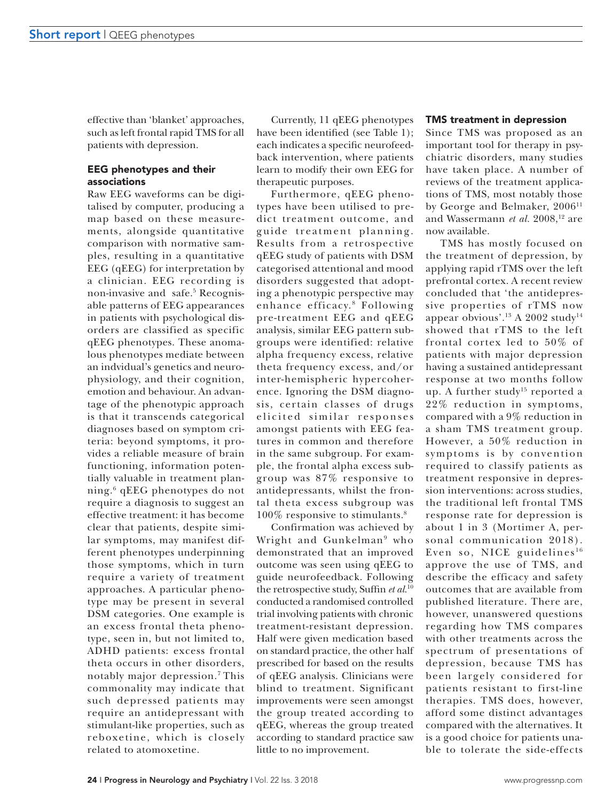effective than 'blanket' approaches, such as left frontal rapid TMS for all patients with depression.

## EEG phenotypes and their associations

Raw EEG waveforms can be digitalised by computer, producing a map based on these measurements, alongside quantitative comparison with normative samples, resulting in a quantitative EEG (qEEG) for interpretation by a clinician. EEG recording is non-invasive and safe.5 Recognisable patterns of EEG appearances in patients with psychological disorders are classified as specific qEEG phenotypes. These anomalous phenotypes mediate between an indvidual's genetics and neurophysiology, and their cognition, emotion and behaviour. An advantage of the phenotypic approach is that it transcends categorical diagnoses based on symptom criteria: beyond symptoms, it provides a reliable measure of brain functioning, information potentially valuable in treatment planning.6 qEEG phenotypes do not require a diagnosis to suggest an effective treatment: it has become clear that patients, despite similar symptoms, may manifest different phenotypes underpinning those symptoms, which in turn require a variety of treatment approaches. A particular phenotype may be present in several DSM categories. One example is an excess frontal theta phenotype, seen in, but not limited to, ADHD patients: excess frontal theta occurs in other disorders, notably major depression.7 This commonality may indicate that such depressed patients may require an antidepressant with stimulant-like properties, such as reboxetine, which is closely related to atomoxetine.

Currently, 11 qEEG phenotypes have been identified (see Table 1); each indicates a specific neurofeedback intervention, where patients learn to modify their own EEG for therapeutic purposes.

Furthermore, qEEG phenotypes have been utilised to predict treatment outcome, and guide treatment planning. Results from a retrospective qEEG study of patients with DSM categorised attentional and mood disorders suggested that adopting a phenotypic perspective may enhance efficacy. 8 Following pre-treatment EEG and qEEG analysis, similar EEG pattern subgroups were identified: relative alpha frequency excess, relative theta frequency excess, and/or inter-hemispheric hypercoherence. Ignoring the DSM diagnosis, certain classes of drugs elicited similar responses amongst patients with EEG features in common and therefore in the same subgroup. For example, the frontal alpha excess subgroup was 87% responsive to antidepressants, whilst the frontal theta excess subgroup was 100% responsive to stimulants.8

Confirmation was achieved by Wright and Gunkelman<sup>9</sup> who demonstrated that an improved outcome was seen using qEEG to guide neurofeedback. Following the retrospective study, Suffin *et al.*<sup>10</sup> conducted a randomised controlled trial involving patients with chronic treatment-resistant depression. Half were given medication based on standard practice, the other half prescribed for based on the results of qEEG analysis. Clinicians were blind to treatment. Significant improvements were seen amongst the group treated according to qEEG, whereas the group treated according to standard practice saw little to no improvement.

### TMS treatment in depression

Since TMS was proposed as an important tool for therapy in psychiatric disorders, many studies have taken place. A number of reviews of the treatment applications of TMS, most notably those by George and Belmaker, 2006<sup>11</sup> and Wassermann *et al.* 2008,<sup>12</sup> are now available.

TMS has mostly focused on the treatment of depression, by applying rapid rTMS over the left prefrontal cortex. A recent review concluded that 'the antidepressive properties of rTMS now appear obvious'.<sup>13</sup> A 2002 study<sup>14</sup> showed that rTMS to the left frontal cortex led to 50% of patients with major depression having a sustained antidepressant response at two months follow up. A further study<sup>15</sup> reported a 22% reduction in symptoms, compared with a 9% reduction in a sham TMS treatment group. However, a 50% reduction in symptoms is by convention required to classify patients as treatment responsive in depression interventions: across studies, the traditional left frontal TMS response rate for depression is about 1 in 3 (Mortimer A, personal communication 2018). Even so, NICE guidelines<sup>16</sup> approve the use of TMS, and describe the efficacy and safety outcomes that are available from published literature. There are, however, unanswered questions regarding how TMS compares with other treatments across the spectrum of presentations of depression, because TMS has been largely considered for patients resistant to first-line therapies. TMS does, however, afford some distinct advantages compared with the alternatives. It is a good choice for patients unable to tolerate the side-effects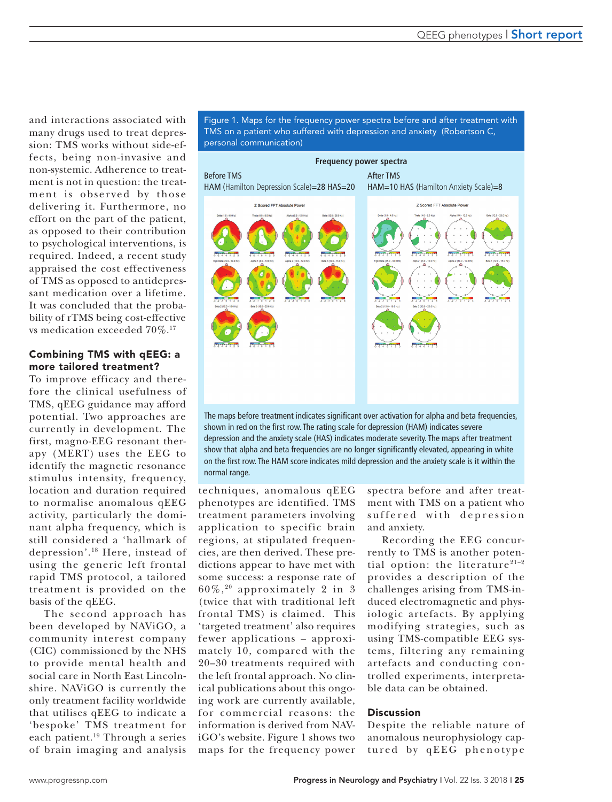and interactions associated with many drugs used to treat depression: TMS works without side-effects, being non-invasive and non-systemic. Adherence to treatment is not in question: the treatment is obser ved by those delivering it. Furthermore, no effort on the part of the patient, as opposed to their contribution to psychological interventions, is required. Indeed, a recent study appraised the cost effectiveness of TMS as opposed to antidepressant medication over a lifetime. It was concluded that the probability of rTMS being cost-effective vs medication exceeded 70%.17

# Combining TMS with qEEG: a more tailored treatment?

To improve efficacy and therefore the clinical usefulness of TMS, qEEG guidance may afford potential. Two approaches are currently in development. The first, magno-EEG resonant therapy (MERT) uses the EEG to identify the magnetic resonance stimulus intensity, frequency, location and duration required to normalise anomalous qEEG activity, particularly the dominant alpha frequency, which is still considered a 'hallmark of depression'.18 Here, instead of using the generic left frontal rapid TMS protocol, a tailored treatment is provided on the basis of the qEEG.

The second approach has been developed by NAViGO, a community interest company (CIC) commissioned by the NHS to provide mental health and social care in North East Lincolnshire. NAViGO is currently the only treatment facility worldwide that utilises qEEG to indicate a 'bespoke' TMS treatment for each patient.19 Through a series of brain imaging and analysis



Figure 1. Maps for the frequency power spectra before and after treatment with



techniques, anomalous qEEG phenotypes are identified. TMS treatment parameters involving application to specific brain regions, at stipulated frequencies, are then derived. These predictions appear to have met with some success: a response rate of 60%, 20 approximately 2 in 3 (twice that with traditional left frontal TMS) is claimed. This 'targeted treatment' also requires fewer applications – approximately 10, compared with the 20–30 treatments required with the left frontal approach. No clinical publications about this ongoing work are currently available, for commercial reasons: the information is derived from NAViGO's website. Figure 1 shows two maps for the frequency power

spectra before and after treatment with TMS on a patient who suffered with depression and anxiety.

Recording the EEG concurrently to TMS is another potential option: the literature $21-2$ provides a description of the challenges arising from TMS-induced electromagnetic and physiologic artefacts. By applying modifying strategies, such as using TMS-compatible EEG systems, filtering any remaining artefacts and conducting controlled experiments, interpretable data can be obtained.

## Discussion

Despite the reliable nature of anomalous neurophysiology captured by qEEG phenotype